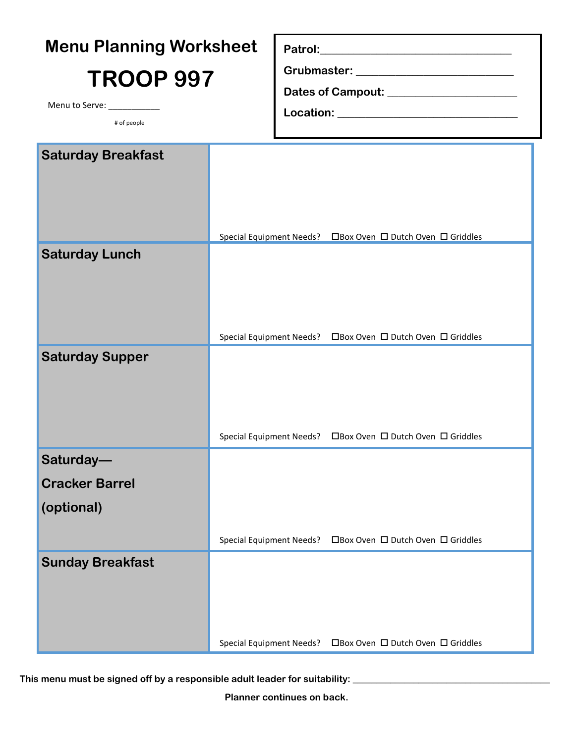|                             | <b>Menu Planning Worksheet</b>                              |  |                                                             |  |  |  |  |
|-----------------------------|-------------------------------------------------------------|--|-------------------------------------------------------------|--|--|--|--|
| <b>TROOP 997</b>            |                                                             |  |                                                             |  |  |  |  |
|                             |                                                             |  |                                                             |  |  |  |  |
| Menu to Serve: ____________ |                                                             |  |                                                             |  |  |  |  |
| # of people                 |                                                             |  |                                                             |  |  |  |  |
| <b>Saturday Breakfast</b>   |                                                             |  |                                                             |  |  |  |  |
|                             |                                                             |  |                                                             |  |  |  |  |
|                             |                                                             |  |                                                             |  |  |  |  |
|                             |                                                             |  |                                                             |  |  |  |  |
|                             | Special Equipment Needs? □Box Oven □ Dutch Oven □ Griddles  |  |                                                             |  |  |  |  |
| <b>Saturday Lunch</b>       |                                                             |  |                                                             |  |  |  |  |
|                             |                                                             |  |                                                             |  |  |  |  |
|                             |                                                             |  |                                                             |  |  |  |  |
|                             |                                                             |  |                                                             |  |  |  |  |
| <b>Saturday Supper</b>      | Special Equipment Needs? □ Box Oven □ Dutch Oven □ Griddles |  |                                                             |  |  |  |  |
|                             |                                                             |  |                                                             |  |  |  |  |
|                             |                                                             |  |                                                             |  |  |  |  |
|                             |                                                             |  |                                                             |  |  |  |  |
|                             |                                                             |  | Special Equipment Needs? □ Box Oven □ Dutch Oven □ Griddles |  |  |  |  |
| Saturday-                   |                                                             |  |                                                             |  |  |  |  |
| <b>Cracker Barrel</b>       |                                                             |  |                                                             |  |  |  |  |
| (optional)                  |                                                             |  |                                                             |  |  |  |  |
|                             |                                                             |  |                                                             |  |  |  |  |
|                             |                                                             |  | Special Equipment Needs? □ Box Oven □ Dutch Oven □ Griddles |  |  |  |  |
| <b>Sunday Breakfast</b>     |                                                             |  |                                                             |  |  |  |  |
|                             |                                                             |  |                                                             |  |  |  |  |
|                             |                                                             |  |                                                             |  |  |  |  |
|                             |                                                             |  |                                                             |  |  |  |  |
|                             | <b>Special Equipment Needs?</b>                             |  | □Box Oven □ Dutch Oven □ Griddles                           |  |  |  |  |

This menu must be signed off by a responsible adult leader for suitability: \_\_\_\_\_\_\_\_\_\_\_\_\_\_\_\_\_\_\_\_\_\_\_\_\_\_\_\_\_\_\_\_\_\_

**Planner continues on back.**